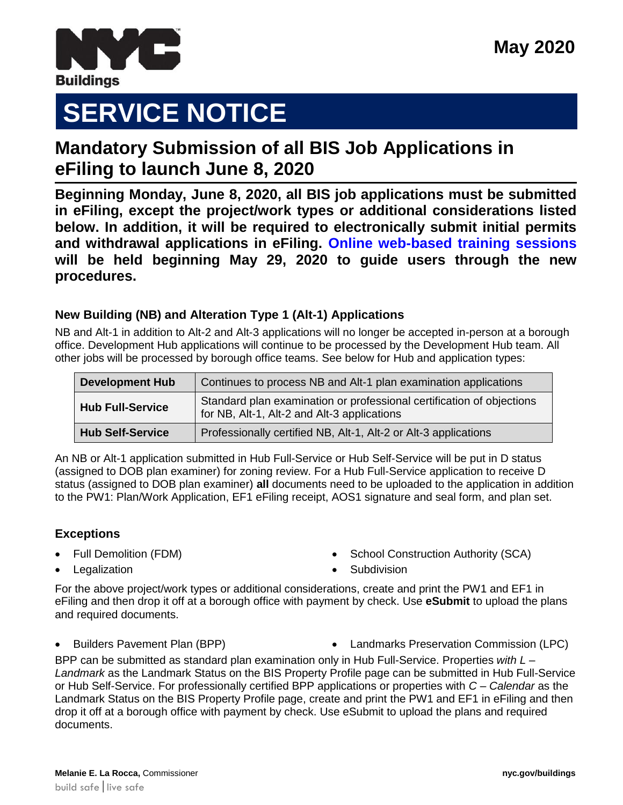

# **SERVICE NOTICE**

# **Mandatory Submission of all BIS Job Applications in eFiling to launch June 8, 2020** *<u>Dondotory</u>*

**Beginning Monday, June 8, 2020, all BIS job applications must be submitted in eFiling, except the project/work types or additional considerations listed below. In addition, it will be required to electronically submit initial permits and withdrawal applications in eFiling. [Online web-based training sessions](https://www1.nyc.gov/site/buildings/industry/efiling_training.page) will be held beginning May 29, 2020 to guide users through the new procedures.**

## **New Building (NB) and Alteration Type 1 (Alt-1) Applications**

NB and Alt-1 in addition to Alt-2 and Alt-3 applications will no longer be accepted in-person at a borough office. Development Hub applications will continue to be processed by the Development Hub team. All other jobs will be processed by borough office teams. See below for Hub and application types:

| <b>Development Hub</b>  | Continues to process NB and Alt-1 plan examination applications                                                      |
|-------------------------|----------------------------------------------------------------------------------------------------------------------|
| <b>Hub Full-Service</b> | Standard plan examination or professional certification of objections<br>for NB, Alt-1, Alt-2 and Alt-3 applications |
| <b>Hub Self-Service</b> | Professionally certified NB, Alt-1, Alt-2 or Alt-3 applications                                                      |

An NB or Alt-1 application submitted in Hub Full-Service or Hub Self-Service will be put in D status (assigned to DOB plan examiner) for zoning review. For a Hub Full-Service application to receive D status (assigned to DOB plan examiner) **all** documents need to be uploaded to the application in addition to the PW1: Plan/Work Application, EF1 eFiling receipt, AOS1 signature and seal form, and plan set.

## **Exceptions**

Full Demolition (FDM)

School Construction Authority (SCA)

Legalization

Subdivision

For the above project/work types or additional considerations, create and print the PW1 and EF1 in eFiling and then drop it off at a borough office with payment by check. Use **eSubmit** to upload the plans and required documents.

Builders Pavement Plan (BPP) Landmarks Preservation Commission (LPC)

BPP can be submitted as standard plan examination only in Hub Full-Service. Properties *with L – Landmark* as the Landmark Status on the BIS Property Profile page can be submitted in Hub Full-Service or Hub Self-Service. For professionally certified BPP applications or properties with *C – Calendar* as the Landmark Status on the BIS Property Profile page, create and print the PW1 and EF1 in eFiling and then drop it off at a borough office with payment by check. Use eSubmit to upload the plans and required documents.